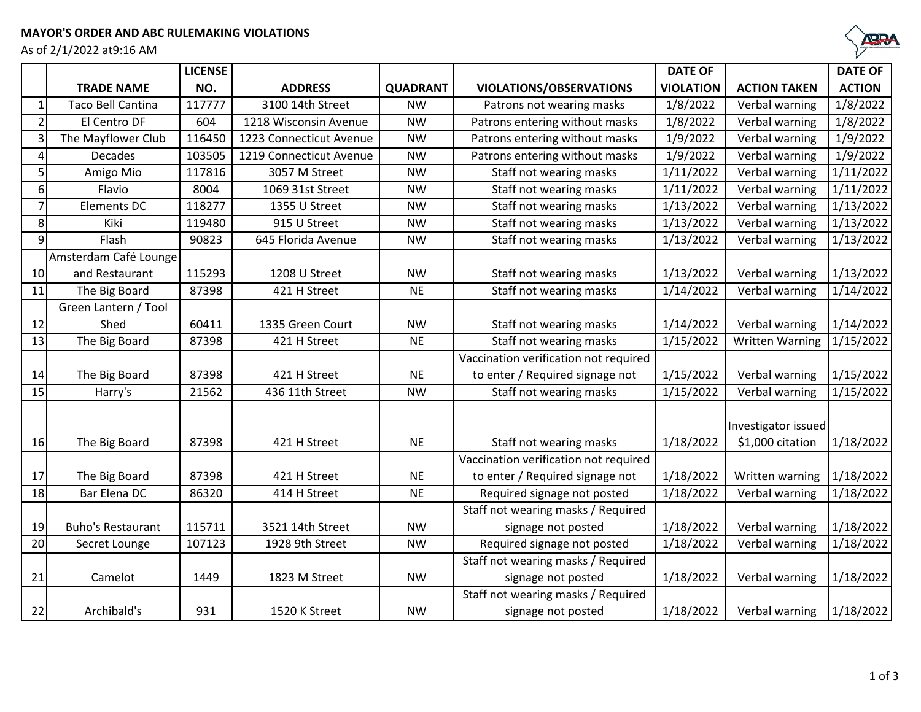As of 2/1/2022 at9:16 AM



|                |                          | <b>LICENSE</b> |                         |                 |                                       | <b>DATE OF</b>   |                        | <b>DATE OF</b> |
|----------------|--------------------------|----------------|-------------------------|-----------------|---------------------------------------|------------------|------------------------|----------------|
|                | <b>TRADE NAME</b>        | NO.            | <b>ADDRESS</b>          | <b>QUADRANT</b> | <b>VIOLATIONS/OBSERVATIONS</b>        | <b>VIOLATION</b> | <b>ACTION TAKEN</b>    | <b>ACTION</b>  |
| 1              | <b>Taco Bell Cantina</b> | 117777         | 3100 14th Street        | <b>NW</b>       | Patrons not wearing masks             | 1/8/2022         | Verbal warning         | 1/8/2022       |
| $\overline{2}$ | El Centro DF             | 604            | 1218 Wisconsin Avenue   | <b>NW</b>       | Patrons entering without masks        | 1/8/2022         | Verbal warning         | 1/8/2022       |
| 3              | The Mayflower Club       | 116450         | 1223 Connecticut Avenue | <b>NW</b>       | Patrons entering without masks        | 1/9/2022         | Verbal warning         | 1/9/2022       |
| 4              | <b>Decades</b>           | 103505         | 1219 Connecticut Avenue | <b>NW</b>       | Patrons entering without masks        | 1/9/2022         | Verbal warning         | 1/9/2022       |
| 5              | Amigo Mio                | 117816         | 3057 M Street           | <b>NW</b>       | Staff not wearing masks               | 1/11/2022        | Verbal warning         | 1/11/2022      |
| $6 \mid$       | Flavio                   | 8004           | 1069 31st Street        | <b>NW</b>       | Staff not wearing masks               | 1/11/2022        | Verbal warning         | 1/11/2022      |
| $\overline{7}$ | <b>Elements DC</b>       | 118277         | 1355 U Street           | <b>NW</b>       | Staff not wearing masks               | 1/13/2022        | Verbal warning         | 1/13/2022      |
| 8 <sup>1</sup> | Kiki                     | 119480         | 915 U Street            | <b>NW</b>       | Staff not wearing masks               | 1/13/2022        | Verbal warning         | 1/13/2022      |
| $\overline{9}$ | Flash                    | 90823          | 645 Florida Avenue      | <b>NW</b>       | Staff not wearing masks               | 1/13/2022        | Verbal warning         | 1/13/2022      |
|                | Amsterdam Café Lounge    |                |                         |                 |                                       |                  |                        |                |
| 10             | and Restaurant           | 115293         | 1208 U Street           | <b>NW</b>       | Staff not wearing masks               | 1/13/2022        | Verbal warning         | 1/13/2022      |
| 11             | The Big Board            | 87398          | 421 H Street            | <b>NE</b>       | Staff not wearing masks               | 1/14/2022        | Verbal warning         | 1/14/2022      |
|                | Green Lantern / Tool     |                |                         |                 |                                       |                  |                        |                |
| 12             | Shed                     | 60411          | 1335 Green Court        | <b>NW</b>       | Staff not wearing masks               | 1/14/2022        | Verbal warning         | 1/14/2022      |
| 13             | The Big Board            | 87398          | 421 H Street            | <b>NE</b>       | Staff not wearing masks               | 1/15/2022        | <b>Written Warning</b> | 1/15/2022      |
|                |                          |                |                         |                 | Vaccination verification not required |                  |                        |                |
| 14             | The Big Board            | 87398          | 421 H Street            | <b>NE</b>       | to enter / Required signage not       | 1/15/2022        | Verbal warning         | 1/15/2022      |
| 15             | Harry's                  | 21562          | 436 11th Street         | <b>NW</b>       | Staff not wearing masks               | 1/15/2022        | Verbal warning         | 1/15/2022      |
|                |                          |                |                         |                 |                                       |                  |                        |                |
|                |                          |                |                         |                 |                                       |                  | Investigator issued    |                |
| 16             | The Big Board            | 87398          | 421 H Street            | <b>NE</b>       | Staff not wearing masks               | 1/18/2022        | \$1,000 citation       | 1/18/2022      |
|                |                          |                |                         |                 | Vaccination verification not required |                  |                        |                |
| 17             | The Big Board            | 87398          | 421 H Street            | <b>NE</b>       | to enter / Required signage not       | 1/18/2022        | Written warning        | 1/18/2022      |
| 18             | Bar Elena DC             | 86320          | 414 H Street            | <b>NE</b>       | Required signage not posted           | 1/18/2022        | Verbal warning         | 1/18/2022      |
|                |                          |                |                         |                 | Staff not wearing masks / Required    |                  |                        |                |
| 19             | <b>Buho's Restaurant</b> | 115711         | 3521 14th Street        | <b>NW</b>       | signage not posted                    | 1/18/2022        | Verbal warning         | 1/18/2022      |
| 20             | Secret Lounge            | 107123         | 1928 9th Street         | <b>NW</b>       | Required signage not posted           | 1/18/2022        | Verbal warning         | 1/18/2022      |
|                |                          |                |                         |                 | Staff not wearing masks / Required    |                  |                        |                |
| 21             | Camelot                  | 1449           | 1823 M Street           | <b>NW</b>       | signage not posted                    | 1/18/2022        | Verbal warning         | 1/18/2022      |
|                |                          |                |                         |                 | Staff not wearing masks / Required    |                  |                        |                |
| 22             | Archibald's              | 931            | 1520 K Street           | <b>NW</b>       | signage not posted                    | 1/18/2022        | Verbal warning         | 1/18/2022      |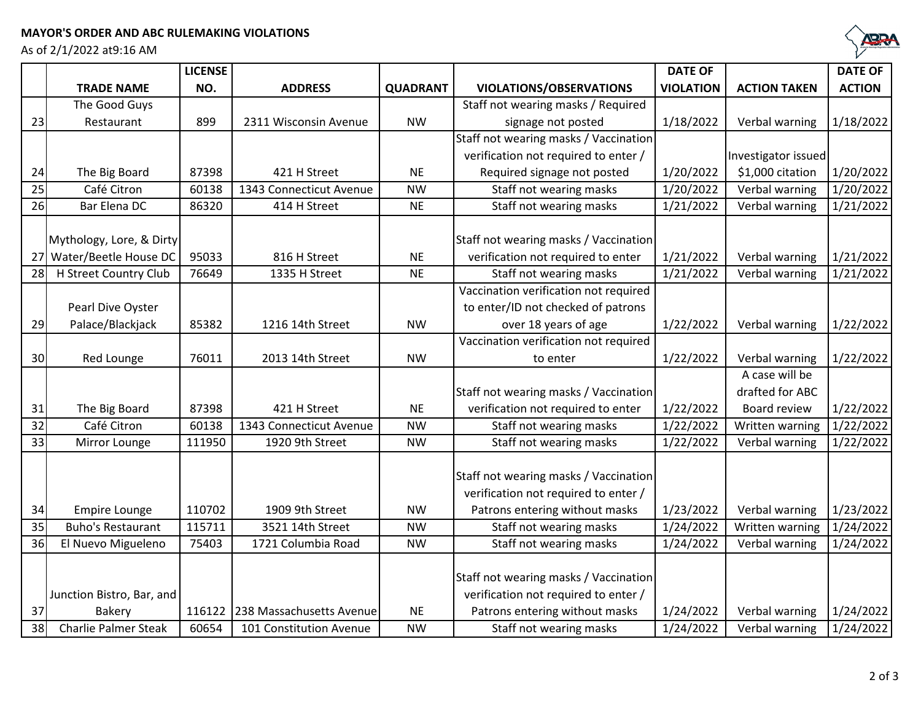## **MAYOR'S ORDER AND ABC RULEMAKING VIOLATIONS**

As of 2/1/2022 at9:16 AM



|                 |                             | <b>LICENSE</b> |                          |                 |                                       | <b>DATE OF</b>   |                     | <b>DATE OF</b> |
|-----------------|-----------------------------|----------------|--------------------------|-----------------|---------------------------------------|------------------|---------------------|----------------|
|                 | <b>TRADE NAME</b>           | NO.            | <b>ADDRESS</b>           | <b>QUADRANT</b> | <b>VIOLATIONS/OBSERVATIONS</b>        | <b>VIOLATION</b> | <b>ACTION TAKEN</b> | <b>ACTION</b>  |
|                 | The Good Guys               |                |                          |                 | Staff not wearing masks / Required    |                  |                     |                |
| 23              | Restaurant                  | 899            | 2311 Wisconsin Avenue    | <b>NW</b>       | signage not posted                    | 1/18/2022        | Verbal warning      | 1/18/2022      |
|                 |                             |                |                          |                 | Staff not wearing masks / Vaccination |                  |                     |                |
|                 |                             |                |                          |                 | verification not required to enter /  |                  | Investigator issued |                |
| 24              | The Big Board               | 87398          | 421 H Street             | <b>NE</b>       | Required signage not posted           | 1/20/2022        | \$1,000 citation    | 1/20/2022      |
| 25              | Café Citron                 | 60138          | 1343 Connecticut Avenue  | <b>NW</b>       | Staff not wearing masks               | 1/20/2022        | Verbal warning      | 1/20/2022      |
| 26              | Bar Elena DC                | 86320          | 414 H Street             | <b>NE</b>       | Staff not wearing masks               | 1/21/2022        | Verbal warning      | 1/21/2022      |
|                 |                             |                |                          |                 |                                       |                  |                     |                |
|                 | Mythology, Lore, & Dirty    |                |                          |                 | Staff not wearing masks / Vaccination |                  |                     |                |
| 27              | Water/Beetle House DC       | 95033          | 816 H Street             | <b>NE</b>       | verification not required to enter    | 1/21/2022        | Verbal warning      | 1/21/2022      |
| 28              | H Street Country Club       | 76649          | 1335 H Street            | <b>NE</b>       | Staff not wearing masks               | 1/21/2022        | Verbal warning      | 1/21/2022      |
|                 |                             |                |                          |                 | Vaccination verification not required |                  |                     |                |
|                 | Pearl Dive Oyster           |                |                          |                 | to enter/ID not checked of patrons    |                  |                     |                |
| 29              | Palace/Blackjack            | 85382          | 1216 14th Street         | <b>NW</b>       | over 18 years of age                  | 1/22/2022        | Verbal warning      | 1/22/2022      |
|                 |                             |                |                          |                 | Vaccination verification not required |                  |                     |                |
| 30              | Red Lounge                  | 76011          | 2013 14th Street         | <b>NW</b>       | to enter                              | 1/22/2022        | Verbal warning      | 1/22/2022      |
|                 |                             |                |                          |                 |                                       |                  | A case will be      |                |
|                 |                             |                |                          |                 | Staff not wearing masks / Vaccination |                  | drafted for ABC     |                |
| 31              | The Big Board               | 87398          | 421 H Street             | <b>NE</b>       | verification not required to enter    | 1/22/2022        | Board review        | 1/22/2022      |
| $\overline{32}$ | Café Citron                 | 60138          | 1343 Connecticut Avenue  | <b>NW</b>       | Staff not wearing masks               | 1/22/2022        | Written warning     | 1/22/2022      |
| 33              | Mirror Lounge               | 111950         | 1920 9th Street          | <b>NW</b>       | Staff not wearing masks               | 1/22/2022        | Verbal warning      | 1/22/2022      |
|                 |                             |                |                          |                 |                                       |                  |                     |                |
|                 |                             |                |                          |                 | Staff not wearing masks / Vaccination |                  |                     |                |
|                 |                             |                |                          |                 | verification not required to enter /  |                  |                     |                |
| 34              | <b>Empire Lounge</b>        | 110702         | 1909 9th Street          | <b>NW</b>       | Patrons entering without masks        | 1/23/2022        | Verbal warning      | 1/23/2022      |
| 35              | <b>Buho's Restaurant</b>    | 115711         | 3521 14th Street         | <b>NW</b>       | Staff not wearing masks               | 1/24/2022        | Written warning     | 1/24/2022      |
| 36              | El Nuevo Migueleno          | 75403          | 1721 Columbia Road       | <b>NW</b>       | Staff not wearing masks               | 1/24/2022        | Verbal warning      | 1/24/2022      |
|                 |                             |                |                          |                 |                                       |                  |                     |                |
|                 |                             |                |                          |                 | Staff not wearing masks / Vaccination |                  |                     |                |
|                 | Junction Bistro, Bar, and   |                |                          |                 | verification not required to enter /  |                  |                     |                |
| 37              | Bakery                      | 116122         | 238 Massachusetts Avenue | <b>NE</b>       | Patrons entering without masks        | 1/24/2022        | Verbal warning      | 1/24/2022      |
| 38              | <b>Charlie Palmer Steak</b> | 60654          | 101 Constitution Avenue  | <b>NW</b>       | Staff not wearing masks               | 1/24/2022        | Verbal warning      | 1/24/2022      |